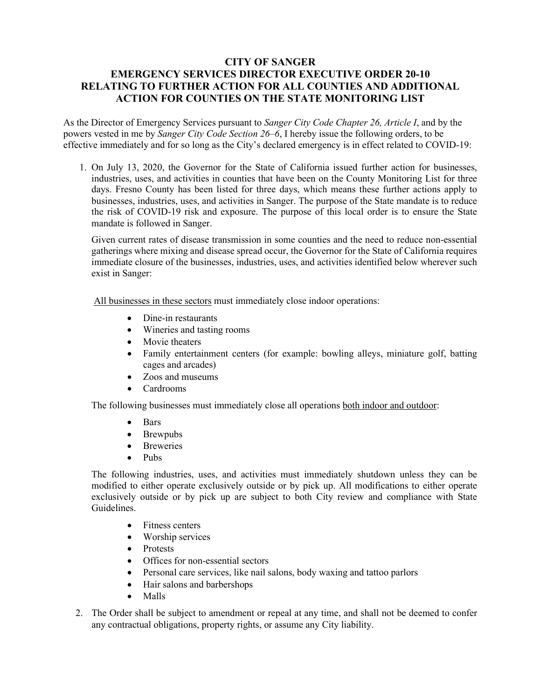## **CITY OF SANGER EMERGENCY SERVICES DIRECTOR EXECUTIVE ORDER 20-10 RELATING TO FURTHER ACTION FOR ALL COUNTIES AND ADDITIONAL ACTION FOR COUNTIES ON THE STATE MONITORING LIST**

As the Director of Emergency Services pursuant to *Sanger City Code Chapter 26, Article I*, and by the powers vested in me by *Sanger City Code Section 26–6*, I hereby issue the following orders, to be effective immediately and for so long as the City's declared emergency is in effect related to COVID-19:

1. On July 13, 2020, the Governor for the State of California issued further action for businesses, industries, uses, and activities in counties that have been on the County Monitoring List for three days. Fresno County has been listed for three days, which means these further actions apply to businesses, industries, uses, and activities in Sanger. The purpose of the State mandate is to reduce the risk of COVID-19 risk and exposure. The purpose of this local order is to ensure the State mandate is followed in Sanger.

Given current rates of disease transmission in some counties and the need to reduce non-essential gatherings where mixing and disease spread occur, the Governor for the State of California requires immediate closure of the businesses, industries, uses, and activities identified below wherever such exist in Sanger:

All businesses in these sectors must immediately close indoor operations:

- Dine-in restaurants
- Wineries and tasting rooms
- Movie theaters
- Family entertainment centers (for example: bowling alleys, miniature golf, batting cages and arcades)
- Zoos and museums
- Cardrooms

The following businesses must immediately close all operations both indoor and outdoor:

- Bars
- Brewpubs
- Breweries
- Pubs

The following industries, uses, and activities must immediately shutdown unless they can be modified to either operate exclusively outside or by pick up. All modifications to either operate exclusively outside or by pick up are subject to both City review and compliance with State Guidelines.

- Fitness centers
- Worship services
- Protests
- Offices for non-essential sectors
- Personal care services, like nail salons, body waxing and tattoo parlors
- Hair salons and barbershops
- Malls
- 2. The Order shall be subject to amendment or repeal at any time, and shall not be deemed to confer any contractual obligations, property rights, or assume any City liability.